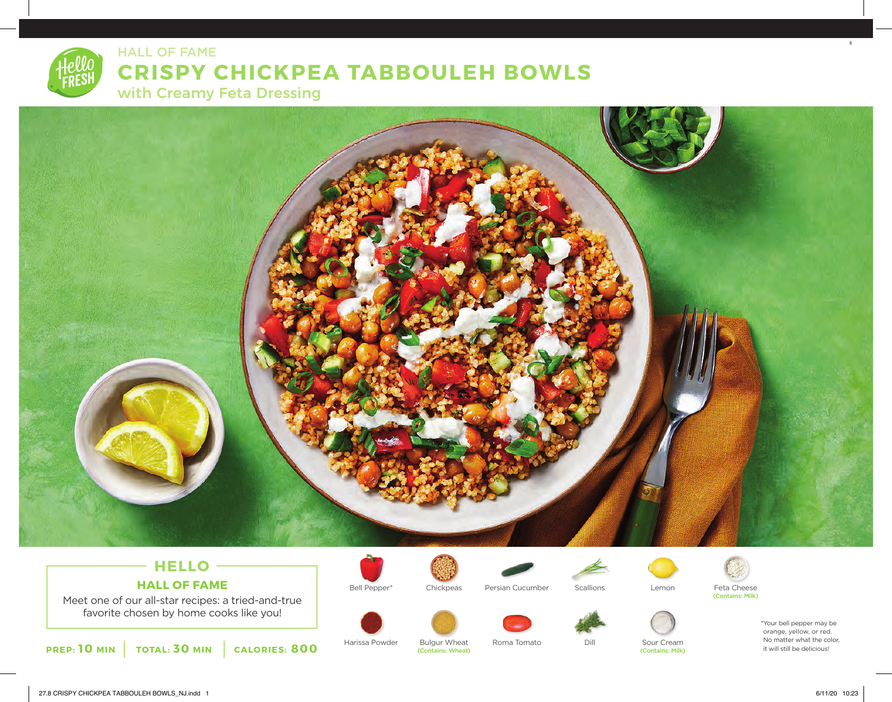

# **CRISPY CHICKPEA TABBOULEH BOWLS**

with Creamy Feta Dressing

HALL OF FAME



# **HELLO HALL OF FAME**

Meet one of our all-star recipes: a tried-and-true favorite chosen by home cooks like you!



Harissa Powder Bulgur Wheat Roma Tomato Dill Sour Cream<br>Contains: Wheat (Contains: Wheat) (Contains: Wheat)







\*Your bell pepper may be orange, yellow, or red.

(Contains: Wheat)

No matter what the color, it will still be delicious!

8